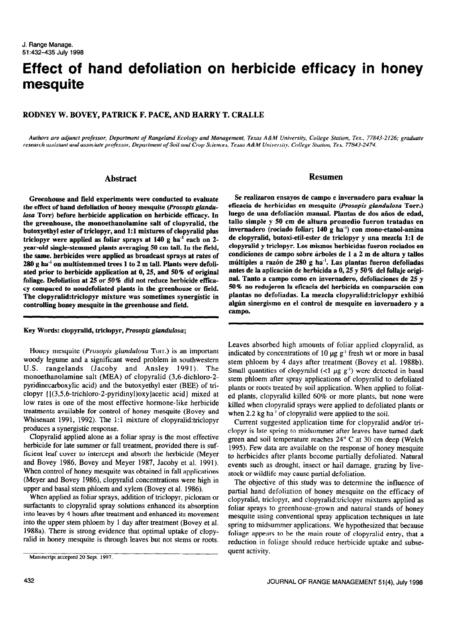# Effect of hand defoliation on herbicide efficacy in honey mesquite

## RODNEY W. BOVEY, PATRICK F. PACE, AND HARRY T. CRALLE

Authors are adjunct professor, Department of Rangeland Ecology and Management, Texas A&M University, College Station, Tex., 77843-2126; graduate research assistant and associate professor, Department of Soil and Crop Sciences, Texas A&M University, College Station, Tex. 77843-2474.

### Abstract

Greenhouse and field experiments were conducted to evaluate the effect of hand defoliation of honey mesquite (Prosopis glandulosa Torr) before herbicide application on herbicide efficacy. In the greenhouse, the monoethanolamine salt of clopyralid, the butoxyethyl ester of triclopyr, and 1:1 mixtures of clopyralid plus triclopyr were applied as foliar sprays at  $140$  g ha<sup>-1</sup> each on 2year-old single-stemmed plants averaging 50 cm tall. In the field, the same. herbicides were applied as broadcast sprays at rates of  $280$  g ha<sup>-1</sup> on multistemmed trees 1 to 2 m tall. Plants were defoliated prior to herbicide application at 0,25, and 50% of original foliage. Defoliation at  $25$  or  $50\%$  did not reduce herbicide efficacy compared to nondefoliated plants in the greenhouse or field. The clopyralid:triclopyr mixture was sometimes synergistic in controlling honey mesquite in the greenhouse and field.

Key Words: clopyralid, triclopyr, Prosopis glandulosa;

Honey mesquite (Prosopis glandulosa Torr.) is an important woody legume and a significant weed problem in southwestern U.S. rangelands (Jacoby and Ansley 1991). The monoethanolamine salt (MEA) of clopyralid (3,6-dichloro-2 pyridinecarboxylic acid) and the butoxyethyl ester (BEE) of triclopyr ([(3,5,6-trichloro-2-pyridinyl)oxy]acetic acid] mixed at low rates is one of the most effective hormone-like herbicide treatments available for control of honey mesquite (Bovey and Wbisenant 1991, 1992). The I:1 mixture of clopyralid:triclopyr produces a synergistic response.

Clopyralid applied alone as a foliar spray is the most effective herbicide for late summer or fall treatment, provided there is sufficient leaf cover to intercept and absorb the herbicide (Meyer and Bovey 1986, Bovey and Meyer 1987, Jacoby et al. 1991). When control of honey mesquite was obtained in fall applications (Meyer and Bovey 1986). clopyralid concentrations were high in upper and basal stem phloem and xylem (Bovey et al. 1986).

When applied as foliar sprays, addition of triclopyr, picloram or surfactants to clopyralid spray solutions enhanced its absorption into leaves by 4 hours after treatment and enhanced its movement into the upper stem phloem by 1 day after treatment (Bovey et al. 1988a). There is strong evidence that optimal uptake of clopyralid in honey mesquite is through leaves but not stems or roots.

Manuscript accepted 20 Sept. 1997.

## Resumen

Se realizaron ensayos de campo e invemadero para evaluar la eticacia de herbicidas en mesquite (Prosopis glandulosa Torr.) luego de una defoliación manual. Plantas de dos años de edad, tallo simple y 50 cm de altura promedio fueron tratadas en invemadero (rociado foliar; 140 g ha") con mono-etanol-amina de clopyralid, butoxi-etil-ester de triclopyr y una mezcla 1:l de clopyralid y triclopyr. Los mismos herbicidas fueron rociados en condiciones de campo sobre árboles de 1 a 2 m de altura y tallos multiples a razon de 280 g ha-'. Las plantas fueron defoliadas antes de la aplicacion de herbicida a 0,25 y 50% del follaje original. Tanto a campo coma en invernadero, defoliaciones de 25 y 50% no redujeron la eficacia de1 herbicida en comparacion con plantas no defoliadas. La mezcla clopyralid:triclopyr exhibio algún sinergismo en el control de mesquite en invernadero y a campo.

Leaves absorbed high amounts of foliar applied clopyralid, as indicated by concentrations of 10  $\mu$ g g<sup>-1</sup> fresh wt or more in basal stem phloem by 4 days after treatment (Bovey et al. 1988b). Small quantities of clopyralid (<1  $\mu$ g g<sup>-1</sup>) were detected in basal stem phloem after spray applications of clopyralid to defoliated plants or roots treated by soil application. When applied to foliated plants, clopyralid killed 60% or more plants. but none were killed when clopyralid sprays were applied to defoliated plants or when 2.2 kg ha<sup>-1</sup> of clopyralid were applied to the soil.

Current suggested application time for clopyralid and/or triclopyr is late spring to midsummer after leaves have turned dark green and soil temperature reaches 24" C at 30 cm deep (Welch 1995). Few data are available on the response of honey mesquite to herbicides after plants become partially defoliated. Natural events such as drought, insect or hail damage, grazing by livestock or wildlife may cause partial defoliation.

The objective of this study was to determine the influence of partial hand defoliation of honey mesquite on the efficacy of clopyralid, triclopyr, and clopyralid:triclopyr mixtures applied as foliar sprays to greenhouse-grown and natural stands of honey mesquite using conventional spray application techniques in late spring to midsummer applications. We hypothesized that because foliage appears to be the main route of clopyralid entry, that a reduction in foliage should reduce herbicide uptake and subsequent activity.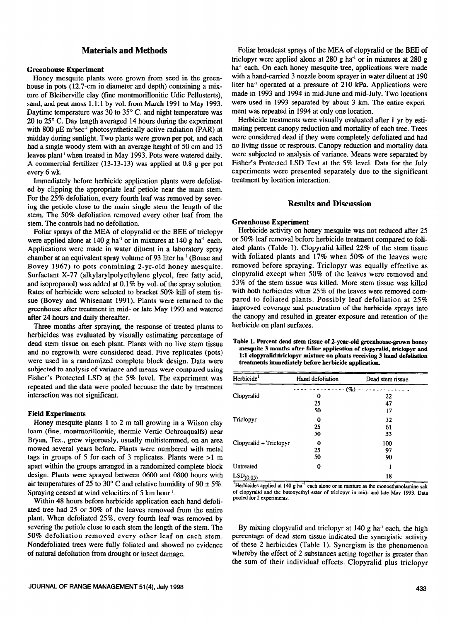## Materials and Methods

#### Greenhouse Experiment

Honey mesquite plants were grown from seed in the greenhouse in pots (12.7-cm in diameter and depth) containing a mixture of Bleiberville clay (fine montmorillonitic Udic Pellusterts), sand, and peat moss 1:l:l by vol. from March 1991 to May 1993. Daytime temperature was 30 to 35" C, and night temperature was 20 to  $25^{\circ}$  C. Day length averaged 14 hours during the experiment with 800  $\mu$ E m<sup>-2</sup>sec<sup>-1</sup> photosynthetically active radiation (PAR) at midday during sunlight. Two plants were grown per pot, and each had a single woody stem with an average height of 50 cm and 15 leaves plant' when treated in May 1993. Pots were watered daily. A commercial fertilizer (13-13-13) was applied at 0.8 g per pot every 6 wk.

Immediately before herbicide application plants were defoliated by clipping the appropriate leaf petiole near the main stem. For the 25% defoliation, every fourth leaf was removed by severing the petiole close to the main single stem the length of the stem. The 50% defoliation removed every other leaf from the stem. The controls had no defoliation.

Foliar sprays of the MEA of clopyralid or the BEE of triclopyr were applied alone at  $140$  g ha<sup>-1</sup> or in mixtures at  $140$  g ha<sup>-1</sup> each. Applications were made in water diluent in a laboratory spray chamber at an equivalent spray volume of 93 liter ha-' (Bouse and Bovey 1967) to pots containing 2-yr-old honey mesquite. Surfactant X-77 (alkylarylpolyethylene glycol, free fatty acid, and isopropanol) was added at 0.1% by vol. of the spray solution. Rates of herbicide were selected to bracket 50% kill of stem tissue (Bovey and Whisenant 1991). Plants were returned to the greenhouse after treatment in mid- or late May 1993 and watered after 24 hours and daily thereafter.

Three months after spraying, the response of treated plants to herbicides was evaluated by visually estimating percentage of dead stem tissue on each plant. Plants with no live stem tissue and no regrowth were considered dead. Five replicates (pots) were used in a randomized complete block design. Data were subjected to analysis of variance and means were compared using Fisher's Protected LSD at the 5% level. The experiment was repeated and the data were pooled because the date by treatment interaction was not significant.

### Field Experiments

Honey mesquite plants 1 to 2 m tall growing in a Wilson clay loam (fine, montmorillonitic, thermic Vertic Ochroaqualfs) near Bryan, Tex., grew vigorously, usually multistemmed, on an area mowed several years before. Plants were numbered with metal tags in groups of 5 for each of 3 replicates. Plants were >l m apart within the groups arranged in a randomized complete block design, Plants were sprayed between 0600 and 0800 hours with air temperatures of 25 to 30° C and relative humidity of 90  $\pm$  5%. Spraying ceased at wind velocities of 5 km hour'.

Within 48 hours before herbicide application each hand defoliated tree had 25 or 50% of the leaves removed from the entire plant. When defoliated 25%. every fourth leaf was removed by severing the petiole close to each stem the length of the stem. The 50% defoliation removed every other leaf on each stem. Nondefoliated trees were fully foliated and showed no evidence of natural defoliation from drought or insect damage.

Foliar broadcast sprays of the MEA of clopyralid or the BEE of triclopyr were applied alone at 280 g ha<sup>-1</sup> or in mixtures at 280 g ha<sup>-1</sup> each. On each honey mesquite tree, applications were made with a hand-carried 3 nozzle boom sprayer in water diluent at 190 liter ha<sup>-1</sup> operated at a pressure of 210 kPa. Applications were made in 1993 and 1994 in mid-June and mid-July. Two locations were used in 1993 separated by about 3 km. The entire experiment was repeated in 1994 at only one location.

Herbicide treatments were visually evaluated after 1 yr by estimating percent canopy reduction and mortality of each tree. Trees were considered dead if they were completely defoliated and had no living tissue or resprouts. Canopy reduction and mortality data were subjected to analysis of variance. Means were separated by Fisher's Protected LSD Test at the 5% level. Data for the July experiments were presented separately due to the significant treatment by location interaction.

#### Results and Discussion

#### Greenhouse Experiment

Herbicide activity on honey mesquite was not reduced after 25 or 50% leaf removal before herbicide treatment compared to foliated plants (Table 1). Clopyralid killed 22% of the stem tissue with foliated plants and 17% when 50% of the leaves were removed before spraying. Triclopyr was equally effective as clopyralid except when 50% of the leaves were removed and 53% of the stem tissue was killed. More stem tissue was killed with both herbicides when 25% of the leaves were removed compared to foliated plants. Possibly leaf defoliation at 25% improved coverage and penetration of the herbicide sprays into the canopy and resulted in greater exposure and retention of the herbicide on plant surfaces.

Table 1. Percent dead stem tissue of 2-year-old greenhouse-grown honey mesquite 3 months after foliar application of clopyralid, triclopyr and 1:1 clopyralid:triclopyr mixture on plants receiving 3 hand defoliation treatments immediately before herbicide applicatioa

| Herbicide <sup>1</sup>  | Hand defoliation | Dead stem tissue |
|-------------------------|------------------|------------------|
|                         | (%)              |                  |
| Clopyralid              | 0                | 22               |
|                         | 25               | 47               |
|                         | 50               | 17               |
| Triclopyr               | 0                | 32               |
|                         | 25               | 61               |
|                         | 50               | 53               |
| Clopyralid + Triclopyr  | 0                | 100              |
|                         | 25               | 97               |
|                         | 50               | 90               |
| Untreated               | 0                |                  |
| $LSD$ <sub>(0.05)</sub> |                  | 18               |

<sup>1</sup>Herbicides applied at 140 g ha<sup>-1</sup> each alone or in mixture as the monoethanolamine salt of clopyralid and the butoxyethyl ester of triclopyr in mid- and late May 1993. Data pooled for 2 experiments.

By mixing clopyralid and triclopyr at  $140$  g ha<sup>-1</sup> each, the high percentage of dead stem tissue indicated the synergistic activity of these 2 herbicides (Table 1). Synergism is the phenomenon whereby the effect of 2 substances acting together is greater than the sum of their individual effects. Clopyralid plus triclopyr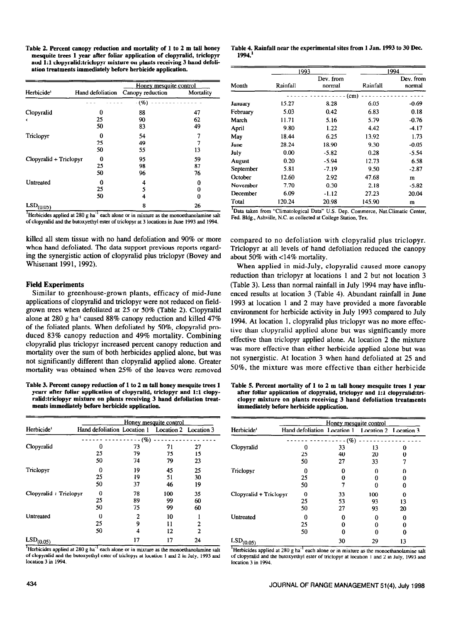Table 2. Percent canopy reduction and mortality of 1 to 2 m tall honey mesquite trees 1 year after foliar application of clopyralid, triclopyr and 1:l clopyralid:triclopyr mixture on plants receiving 3 hand defoliation treatments immediately before herbicide application.

|                        |                  | Honey mesquite control |           |
|------------------------|------------------|------------------------|-----------|
| Herbicide <sup>1</sup> | Hand defoliation | Canopy reduction       | Mortality |
|                        |                  | (%)                    |           |
| Clopyralid             | n                | 88                     | 47        |
| ۷                      | 25               | 90                     | 62        |
|                        | 50               | 83                     | 49        |
| Triclopyr              | 0                | 54                     | 7         |
|                        | 25               | 49                     | 7         |
|                        | 50               | 55                     | 13        |
| Clopyralid + Triclopyr | o                | 95                     | 59        |
|                        | 25               | 98                     | 87        |
|                        | 50               | 96                     | 76        |
| Untreated              | 0                | 4                      | 0         |
|                        | 25               | 5                      | 0         |
|                        | 50               | 4                      | O         |
| $LSD_{(0.05)}$         |                  | 8                      | 26        |

 $^1$ Herbicides applied at 280 g ha $^{-1}$  each alone or in mixture as the monoethanolamine salt of clopyrahd aad the butoxyethyl ester of tticlopyr at 3 locations in June 1993 and 1994.

killed all stem tissue with no hand defoliation and 90% or more when hand defoliated. The data support previous reports regarding the synergistic action of clopyralid plus triclopyr (Bovey and Whisenant 1991,1992).

#### Field Experiments

Similar to greenhouse-grown plants, efficacy of mid-June applications of clopyralid and triclopyr were not reduced on fieldgrown trees when defoliated at 25 or 50% (Table 2). Clopyralid alone at 280 g ha<sup>-1</sup> caused 88% canopy reduction and killed 47% of the foliated plants. When defoliated by 50%, clopyralid produced 83% canopy reduction and 49% mortality. Combining clopyralid plus triclopyr increased percent canopy reduction and mortality over the sum of both herbicides applied alone, but was not significantly different than clopyralid applied alone. Greater mortality was obtained when 25% of the leaves were removed

Table 3. Percent canopy reduction of 1 to 2 m tall honey mesquite trees 1 Table 5. Percent mortality of 1 to 2 m tall honey mesquite trees 1 year ments immediately before herbicide application. **immediately before herbicide application**.

|                        | Honey mesquite control                            |     |     |                |
|------------------------|---------------------------------------------------|-----|-----|----------------|
| Herbicide <sup>1</sup> | Hand defoliation Location 1 Location 2 Location 3 |     |     |                |
|                        |                                                   | (%) |     |                |
| Clopyralid             | 0                                                 | 73  | 71  | 27             |
|                        | 25                                                | 79  | 75  | 15             |
|                        | 50                                                | 74  | 79  | 23             |
| Triclopyr              | 0                                                 | 19  | 45  | 25             |
|                        | 25                                                | 19  | 51  | 30             |
|                        | 50                                                | 37  | 46  | 19             |
| Clopyralid + Triclopyr | 0                                                 | 78  | 100 | 35             |
|                        | 25                                                | 89  | 99  | 60             |
|                        | 50                                                | 75  | 99  | 60             |
| Untreated              | 0                                                 | 2   | 10  |                |
|                        | 25                                                | 9   | 11  | 2              |
|                        | 50                                                | 4   | 12  | $\overline{2}$ |
| $LSD_{(0.05)}$         |                                                   | 17  | 17  | 24             |

<sup>1</sup>Herbicides applied at  $280 g$  ha<sup>-1</sup> each alone or in mixture as the monoethanolamine salt of clopyralid and the butoxyethyl ester of triclopyr at location I and 2 in July. 1993 and location 3 in 1994.

Table 4. Rainfall near the experimental sites from 1 Jan. 1993 to 30 Dec. 1994.'

|           |          | 1993                |          | 1994                |  |
|-----------|----------|---------------------|----------|---------------------|--|
| Month     | Rainfall | Dev. from<br>normal | Rainfall | Dev. from<br>normal |  |
|           |          |                     | (cm)     |                     |  |
| January   | 15.27    | 8.28                | 6.05     | $-0.69$             |  |
| February  | 5.03     | 0.42                | 6.83     | 0.18                |  |
| March     | 11.71    | 5.16                | 5.79     | $-0.76$             |  |
| April     | 9.80     | 1.22                | 4.42     | -4.17               |  |
| May       | 18.44    | 6.25                | 13.92    | 1.73                |  |
| June      | 28.24    | 18.90               | 9.30     | $-0.05$             |  |
| July      | 0.00     | $-5.82$             | 0.28     | $-5.54$             |  |
| August    | 0.20     | $-5.94$             | 12.73    | 6.58                |  |
| September | 5.81     | $-7.19$             | 9.50     | $-2.87$             |  |
| October   | 12.60    | 2.92                | 47.68    | m                   |  |
| November  | 7.70     | 0.30                | 2.18     | $-5.82$             |  |
| December  | 6.09     | $-1.12$             | 27.23    | 20.04               |  |
| Total     | 120.24   | 20.98               | 145.90   | m                   |  |

<sup>1</sup>Data taken from "Climatological Data" U.S. Dep. Commerce, Nat.Climatic Center, Fed. Bldg., Ashville. N.C. as collected at College Station, Tex.

compared to no defoliation with clopyralid plus triclopyr. Triclopyr at all levels of hand defoliation reduced the canopy about 50% with <14% mortality.

When applied in mid-July, clopyralid caused more canopy reduction than triclopyr at locations 1 and 2 but not location 3 (Table 3). Less than normal rainfall in July 1994 may have influenced results at location 3 (Table 4). Abundant rainfall in June 1993 at location 1 and 2 may have provided a more favorable environment for herbicide activity in July 1993 compared to July 1994. At location 1, clopyralid plus triclopyr was no more effective than clopyralid applied alone but was significantly more effective than triclopyr applied alone. At location 2 the mixture was more effective than either herbicide applied alone but was not synergistic. At location 3 when hand defoliated at 25 and 50%, the mixture was more effective than either herbicide

yearr after foliar application of clopyralid, triclopyr and 1:l clopy- after foliar application of clopyratid, triclopyr and 1:l clopyralid:triralid:triclopyr mixture on plants receiving 3 hand defoliation treat- clopyr mixture on plants receiving 3 hand defoliation treatments

|                        |                                                   | Honey mesquite control |     |    |  |
|------------------------|---------------------------------------------------|------------------------|-----|----|--|
| Herbicide <sup>1</sup> | Hand defoliation Location 1 Location 2 Location 3 |                        |     |    |  |
|                        |                                                   | (%)                    |     |    |  |
| Clopyralid             | O                                                 | 33                     | 13  | 0  |  |
|                        | 25                                                | 40                     | 20  | o  |  |
|                        | 50                                                | 27                     | 33  |    |  |
| Triclopyr              | 0                                                 |                        |     | Ω  |  |
|                        | 25                                                |                        |     | Ω  |  |
|                        | 50                                                |                        |     |    |  |
| Clopyralid + Triclopyr | 0                                                 | 33                     | 100 | Ω  |  |
|                        | 25                                                | 53                     | 93  | 13 |  |
|                        | 50                                                | 27                     | 93  | 20 |  |
| Untreated              |                                                   |                        |     | 0  |  |
|                        | 25                                                |                        |     | o  |  |
|                        | 50                                                |                        | Π   |    |  |
| LSD <sub>(0.05)</sub>  |                                                   | 30                     | 29  | 13 |  |

<sup>1</sup>Herbicides applied at 280 g ha<sup>-1</sup> each alone or in mixture as the monoethanolamine salt of clopyralid and the butoxyethyl ester of triclopyr at location 1 and 2 in July, 1993 and location 3 in 1994.